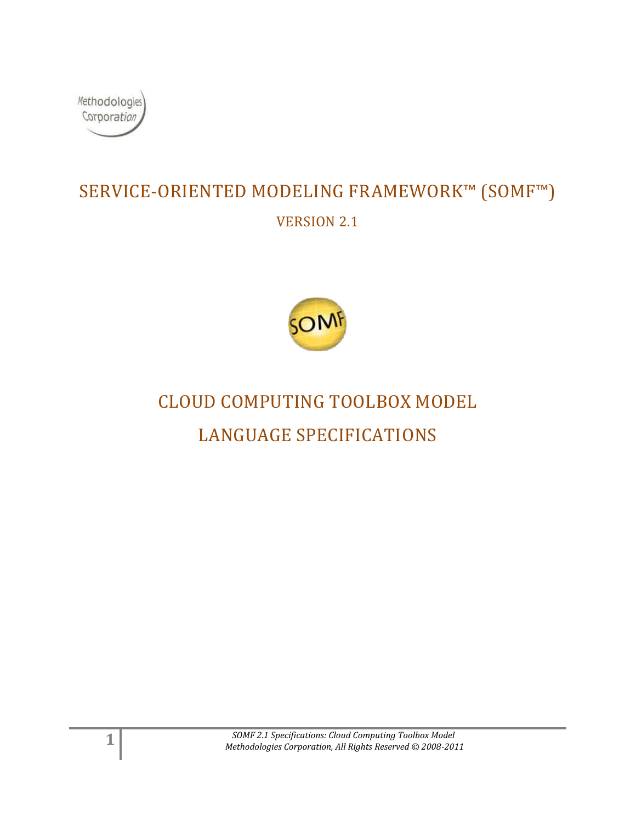

## SERVICE-ORIENTED MODELING FRAMEWORK™ (SOMF™) VERSION 2.1



# CLOUD COMPUTING TOOLBOX MODEL LANGUAGE SPECIFICATIONS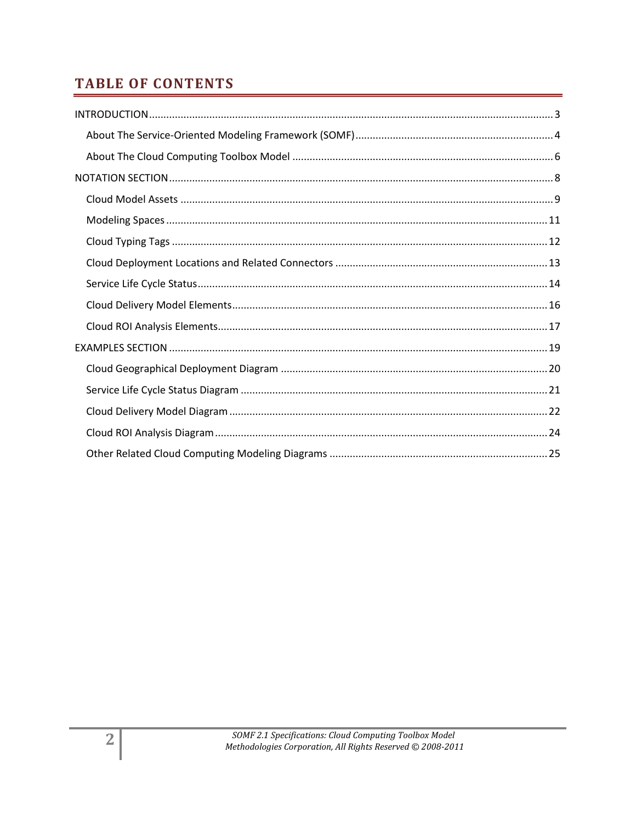### **TABLE OF CONTENTS**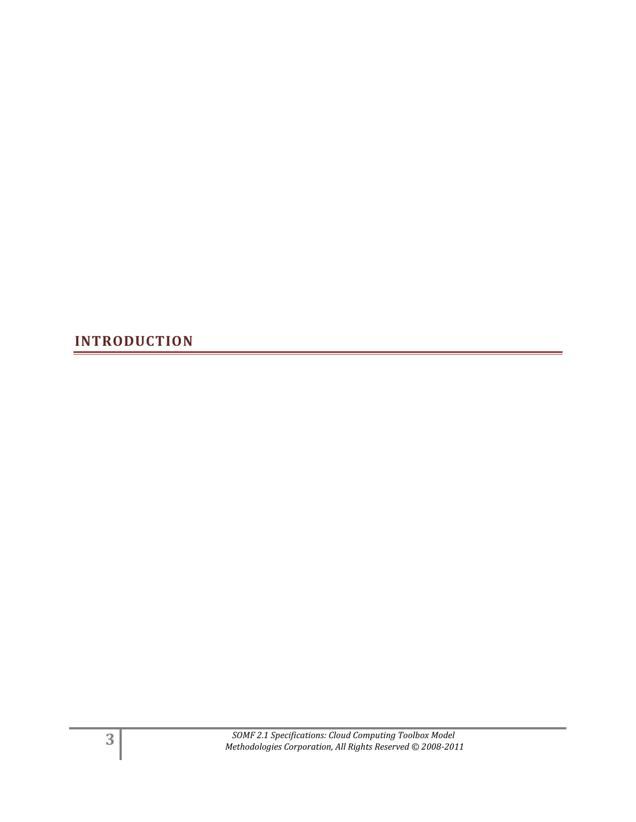<span id="page-2-0"></span>**INTRODUCTION**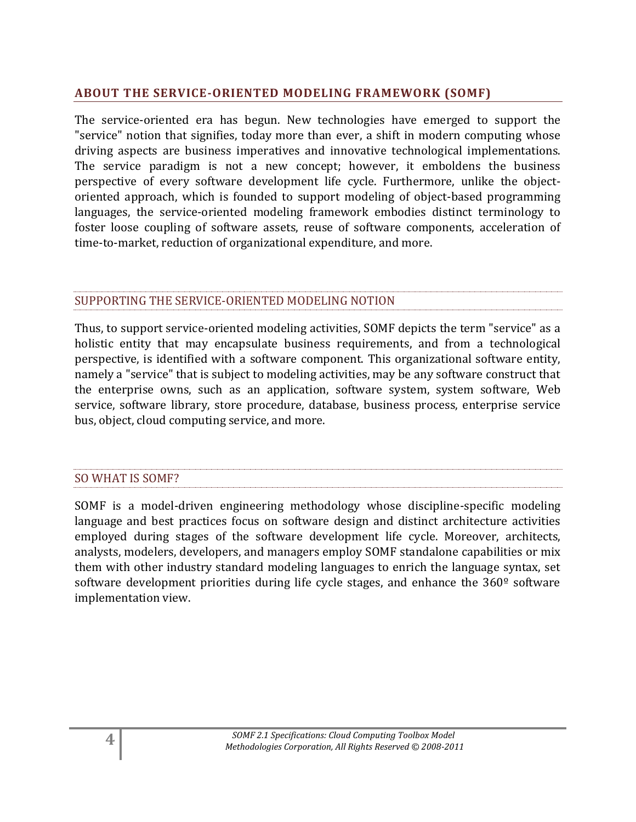#### <span id="page-3-0"></span>**ABOUT THE SERVICE-ORIENTED MODELING FRAMEWORK (SOMF)**

The service-oriented era has begun. New technologies have emerged to support the "service" notion that signifies, today more than ever, a shift in modern computing whose driving aspects are business imperatives and innovative technological implementations. The service paradigm is not a new concept; however, it emboldens the business perspective of every software development life cycle. Furthermore, unlike the objectoriented approach, which is founded to support modeling of object-based programming languages, the service-oriented modeling framework embodies distinct terminology to foster loose coupling of software assets, reuse of software components, acceleration of time-to-market, reduction of organizational expenditure, and more.

#### SUPPORTING THE SERVICE-ORIENTED MODELING NOTION

Thus, to support service-oriented modeling activities, SOMF depicts the term "service" as a holistic entity that may encapsulate business requirements, and from a technological perspective, is identified with a software component. This organizational software entity, namely a "service" that is subject to modeling activities, may be any software construct that the enterprise owns, such as an application, software system, system software, Web service, software library, store procedure, database, business process, enterprise service bus, object, cloud computing service, and more.

#### SO WHAT IS SOMF?

SOMF is a model-driven engineering methodology whose discipline-specific modeling language and best practices focus on software design and distinct architecture activities employed during stages of the software development life cycle. Moreover, architects, analysts, modelers, developers, and managers employ SOMF standalone capabilities or mix them with other industry standard modeling languages to enrich the language syntax, set software development priorities during life cycle stages, and enhance the 360<sup>°</sup> software implementation view.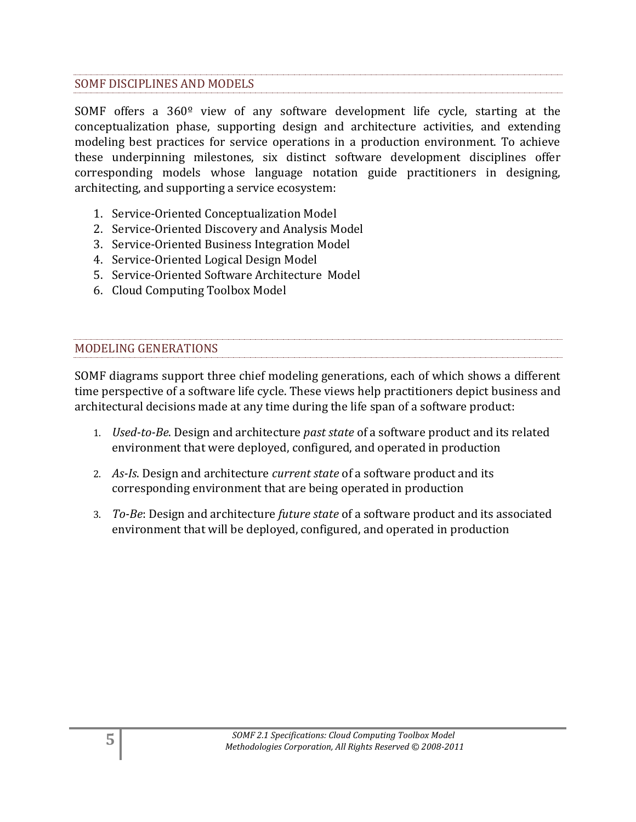#### SOMF DISCIPLINES AND MODELS

SOMF offers a 360º view of any software development life cycle, starting at the conceptualization phase, supporting design and architecture activities, and extending modeling best practices for service operations in a production environment. To achieve these underpinning milestones, six distinct software development disciplines offer corresponding models whose language notation guide practitioners in designing, architecting, and supporting a service ecosystem:

- 1. Service-Oriented Conceptualization Model
- 2. Service-Oriented Discovery and Analysis Model
- 3. Service-Oriented Business Integration Model
- 4. Service-Oriented Logical Design Model
- 5. Service-Oriented Software Architecture Model
- 6. Cloud Computing Toolbox Model

#### MODELING GENERATIONS

SOMF diagrams support three chief modeling generations, each of which shows a different time perspective of a software life cycle. These views help practitioners depict business and architectural decisions made at any time during the life span of a software product:

- 1. *Used-to-Be*. Design and architecture *past state* of a software product and its related environment that were deployed, configured, and operated in production
- 2. *As-Is*. Design and architecture *current state* of a software product and its corresponding environment that are being operated in production
- 3. *To-Be*: Design and architecture *future state* of a software product and its associated environment that will be deployed, configured, and operated in production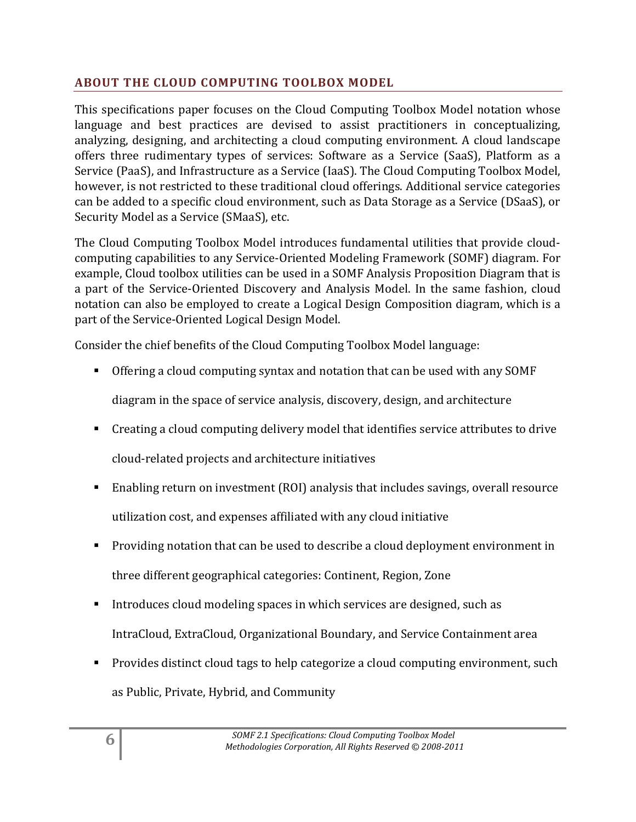#### <span id="page-5-0"></span>**ABOUT THE CLOUD COMPUTING TOOLBOX MODEL**

This specifications paper focuses on the Cloud Computing Toolbox Model notation whose language and best practices are devised to assist practitioners in conceptualizing, analyzing, designing, and architecting a cloud computing environment. A cloud landscape offers three rudimentary types of services: Software as a Service (SaaS), Platform as a Service (PaaS), and Infrastructure as a Service (IaaS). The Cloud Computing Toolbox Model, however, is not restricted to these traditional cloud offerings. Additional service categories can be added to a specific cloud environment, such as Data Storage as a Service (DSaaS), or Security Model as a Service (SMaaS), etc.

The Cloud Computing Toolbox Model introduces fundamental utilities that provide cloudcomputing capabilities to any Service-Oriented Modeling Framework (SOMF) diagram. For example, Cloud toolbox utilities can be used in a SOMF Analysis Proposition Diagram that is a part of the Service-Oriented Discovery and Analysis Model. In the same fashion, cloud notation can also be employed to create a Logical Design Composition diagram, which is a part of the Service-Oriented Logical Design Model.

Consider the chief benefits of the Cloud Computing Toolbox Model language:

Offering a cloud computing syntax and notation that can be used with any SOMF

diagram in the space of service analysis, discovery, design, and architecture

- Creating a cloud computing delivery model that identifies service attributes to drive cloud-related projects and architecture initiatives
- Enabling return on investment (ROI) analysis that includes savings, overall resource utilization cost, and expenses affiliated with any cloud initiative
- **Providing notation that can be used to describe a cloud deployment environment in** three different geographical categories: Continent, Region, Zone
- Introduces cloud modeling spaces in which services are designed, such as IntraCloud, ExtraCloud, Organizational Boundary, and Service Containment area
- Provides distinct cloud tags to help categorize a cloud computing environment, such as Public, Private, Hybrid, and Community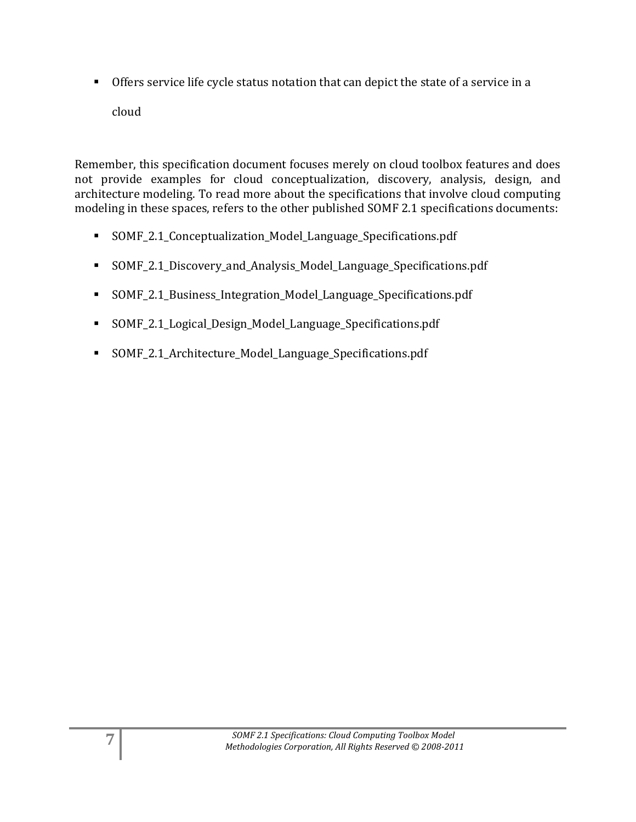Offers service life cycle status notation that can depict the state of a service in a cloud

Remember, this specification document focuses merely on cloud toolbox features and does not provide examples for cloud conceptualization, discovery, analysis, design, and architecture modeling. To read more about the specifications that involve cloud computing modeling in these spaces, refers to the other published SOMF 2.1 specifications documents:

- SOMF\_2.1\_Conceptualization\_Model\_Language\_Specifications.pdf
- SOMF\_2.1\_Discovery\_and\_Analysis\_Model\_Language\_Specifications.pdf
- SOMF\_2.1\_Business\_Integration\_Model\_Language\_Specifications.pdf
- SOMF\_2.1\_Logical\_Design\_Model\_Language\_Specifications.pdf
- SOMF\_2.1\_Architecture\_Model\_Language\_Specifications.pdf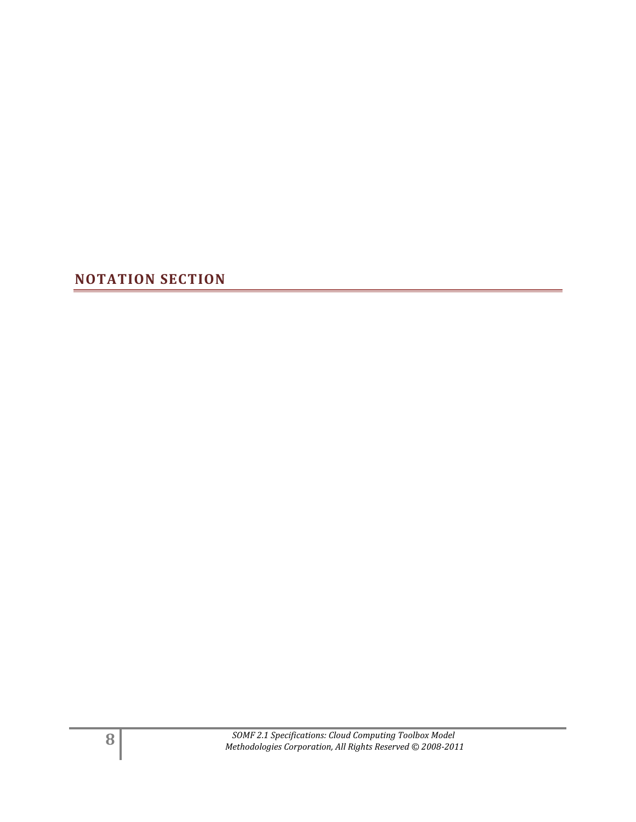<span id="page-7-0"></span>**NOTATION SECTION**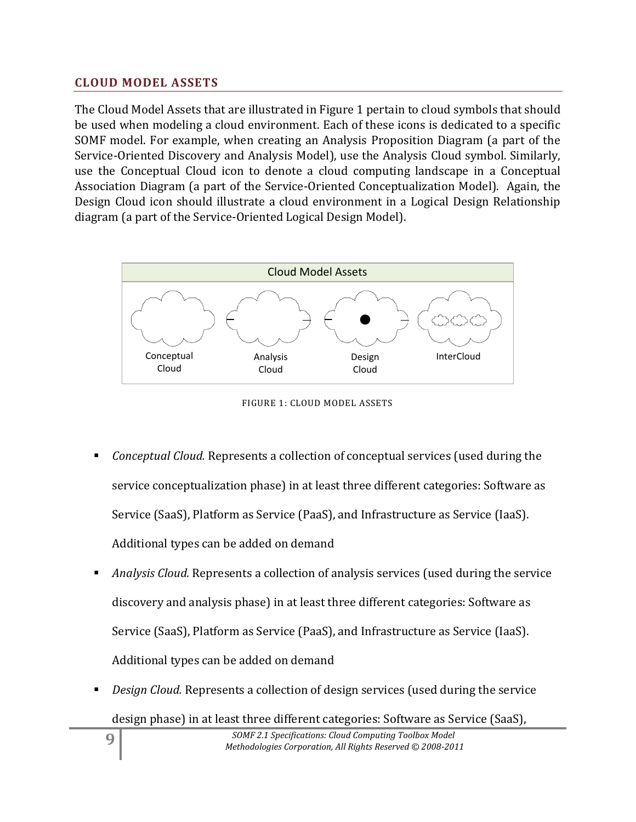#### <span id="page-8-0"></span>**CLOUD MODEL ASSETS**

The Cloud Model Assets that are illustrated in Figure 1 pertain to cloud symbols that should be used when modeling a cloud environment. Each of these icons is dedicated to a specific SOMF model. For example, when creating an Analysis Proposition Diagram (a part of the Service-Oriented Discovery and Analysis Model), use the Analysis Cloud symbol. Similarly, use the Conceptual Cloud icon to denote a cloud computing landscape in a Conceptual Association Diagram (a part of the Service-Oriented Conceptualization Model). Again, the Design Cloud icon should illustrate a cloud environment in a Logical Design Relationship diagram (a part of the Service-Oriented Logical Design Model).



FIGURE 1: CLOUD MODEL ASSETS

- *Conceptual Cloud.* Represents a collection of conceptual services (used during the service conceptualization phase) in at least three different categories: Software as Service (SaaS), Platform as Service (PaaS), and Infrastructure as Service (IaaS). Additional types can be added on demand
- *Analysis Cloud.* Represents a collection of analysis services (used during the service discovery and analysis phase) in at least three different categories: Software as Service (SaaS), Platform as Service (PaaS), and Infrastructure as Service (IaaS). Additional types can be added on demand
- *Design Cloud.* Represents a collection of design services (used during the service
	- design phase) in at least three different categories: Software as Service (SaaS),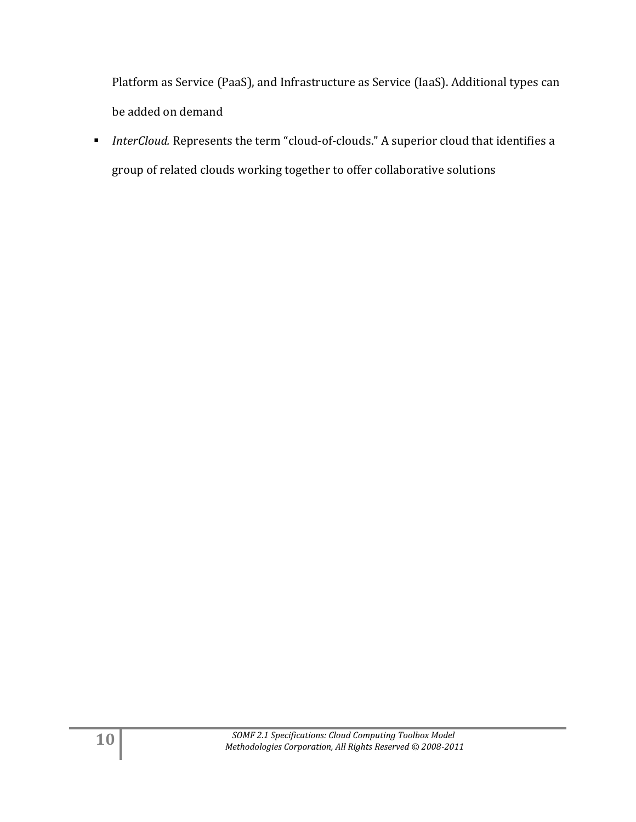Platform as Service (PaaS), and Infrastructure as Service (IaaS). Additional types can be added on demand

 *InterCloud.* Represents the term "cloud-of-clouds." A superior cloud that identifies a group of related clouds working together to offer collaborative solutions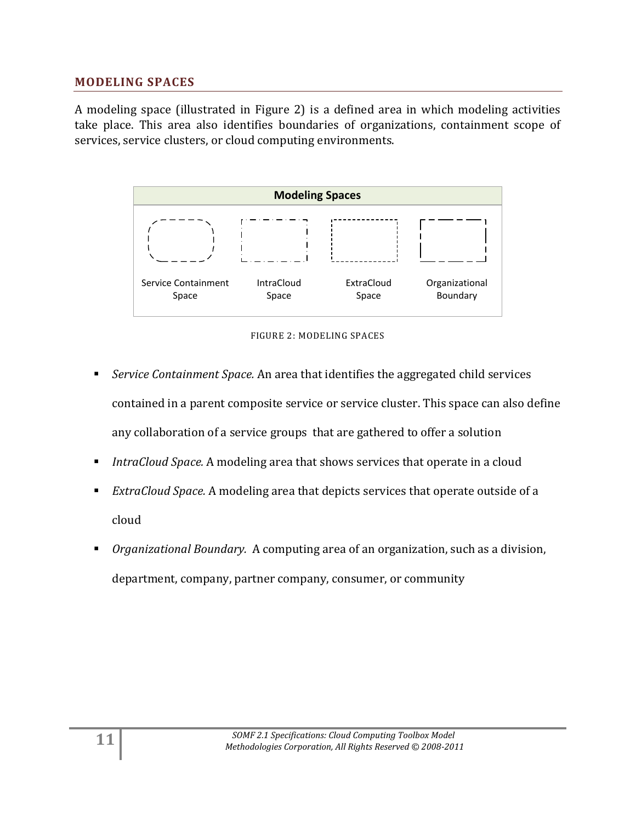#### <span id="page-10-0"></span>**MODELING SPACES**

A modeling space (illustrated in Figure 2) is a defined area in which modeling activities take place. This area also identifies boundaries of organizations, containment scope of services, service clusters, or cloud computing environments.



FIGURE 2: MODELING SPACES

- *Service Containment Space.* An area that identifies the aggregated child services contained in a parent composite service or service cluster. This space can also define any collaboration of a service groups that are gathered to offer a solution
- *IntraCloud Space.* A modeling area that shows services that operate in a cloud
- *ExtraCloud Space.* A modeling area that depicts services that operate outside of a cloud
- *Organizational Boundary.* A computing area of an organization, such as a division, department, company, partner company, consumer, or community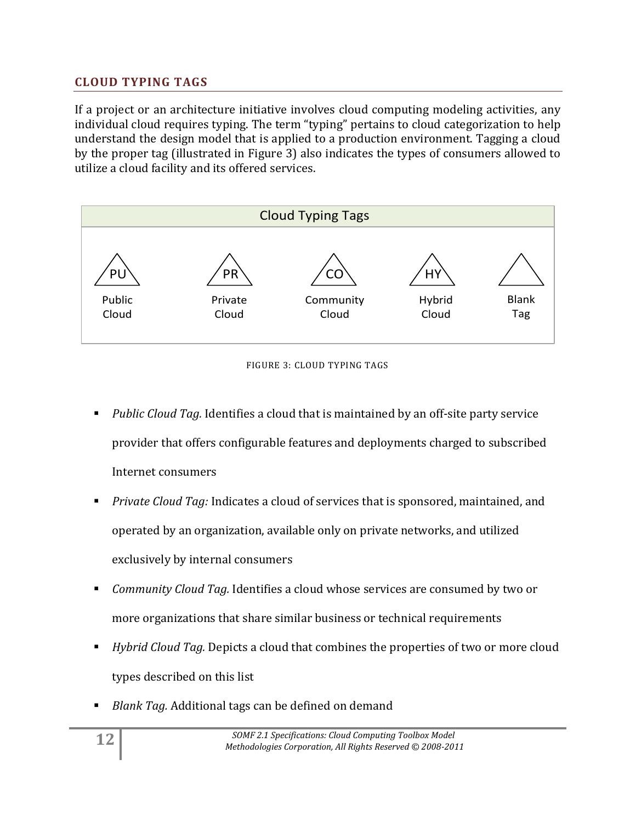#### <span id="page-11-0"></span>**CLOUD TYPING TAGS**

If a project or an architecture initiative involves cloud computing modeling activities, any individual cloud requires typing. The term "typing" pertains to cloud categorization to help understand the design model that is applied to a production environment. Tagging a cloud by the proper tag (illustrated in Figure 3) also indicates the types of consumers allowed to utilize a cloud facility and its offered services.



FIGURE 3: CLOUD TYPING TAGS

- *Public Cloud Tag.* Identifies a cloud that is maintained by an off-site party service provider that offers configurable features and deployments charged to subscribed Internet consumers
- *Private Cloud Tag:* Indicates a cloud of services that is sponsored, maintained, and operated by an organization, available only on private networks, and utilized exclusively by internal consumers
- *Community Cloud Tag.* Identifies a cloud whose services are consumed by two or more organizations that share similar business or technical requirements
- *Hybrid Cloud Tag.* Depicts a cloud that combines the properties of two or more cloud types described on this list
- *Blank Tag.* Additional tags can be defined on demand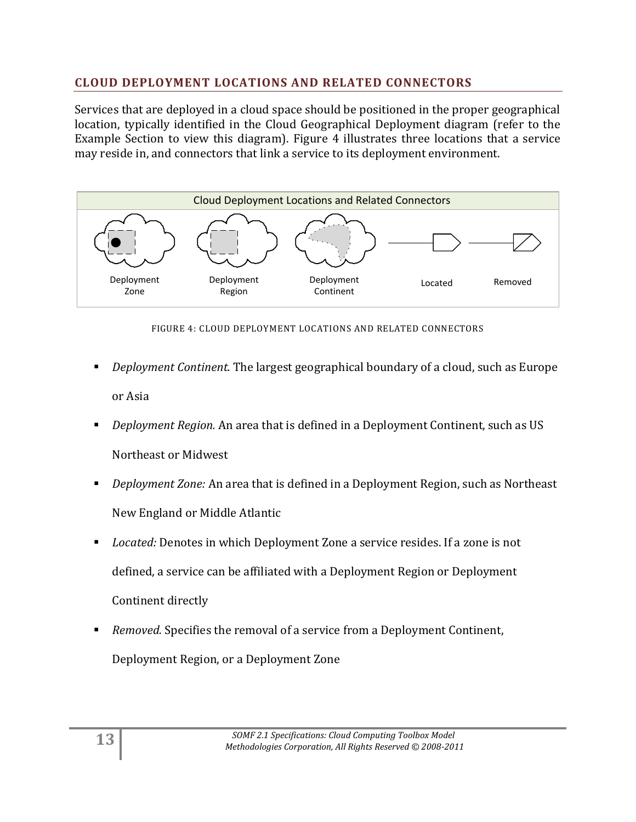#### <span id="page-12-0"></span>**CLOUD DEPLOYMENT LOCATIONS AND RELATED CONNECTORS**

Services that are deployed in a cloud space should be positioned in the proper geographical location, typically identified in the Cloud Geographical Deployment diagram (refer to the Example Section to view this diagram). Figure 4 illustrates three locations that a service may reside in, and connectors that link a service to its deployment environment.



FIGURE 4: CLOUD DEPLOYMENT LOCATIONS AND RELATED CONNECTORS

- *Deployment Continent.* The largest geographical boundary of a cloud, such as Europe or Asia
- *Deployment Region.* An area that is defined in a Deployment Continent, such as US Northeast or Midwest
- *Deployment Zone:* An area that is defined in a Deployment Region, such as Northeast New England or Middle Atlantic
- *Located:* Denotes in which Deployment Zone a service resides. If a zone is not defined, a service can be affiliated with a Deployment Region or Deployment Continent directly
- *Removed.* Specifies the removal of a service from a Deployment Continent, Deployment Region, or a Deployment Zone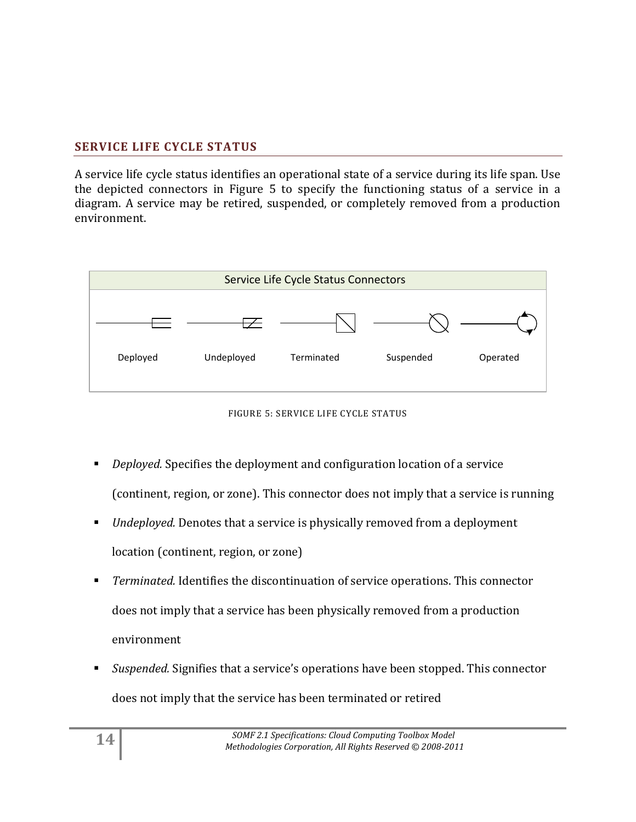#### <span id="page-13-0"></span>**SERVICE LIFE CYCLE STATUS**

A service life cycle status identifies an operational state of a service during its life span. Use the depicted connectors in Figure 5 to specify the functioning status of a service in a diagram. A service may be retired, suspended, or completely removed from a production environment.





- *Deployed.* Specifies the deployment and configuration location of a service (continent, region, or zone). This connector does not imply that a service is running
- *Undeployed.* Denotes that a service is physically removed from a deployment location (continent, region, or zone)
- *Terminated.* Identifies the discontinuation of service operations. This connector does not imply that a service has been physically removed from a production environment
- *Suspended.* Signifies that a service's operations have been stopped. This connector does not imply that the service has been terminated or retired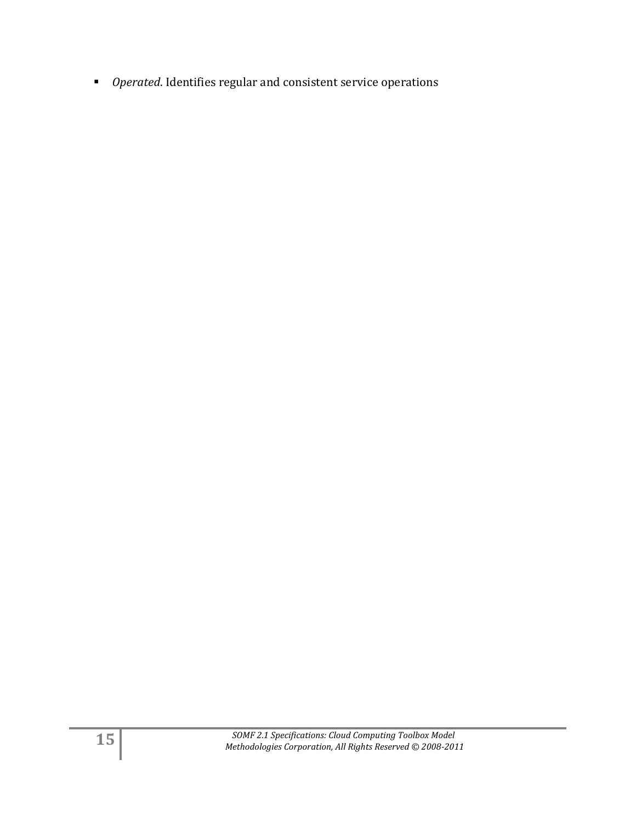*Operated*. Identifies regular and consistent service operations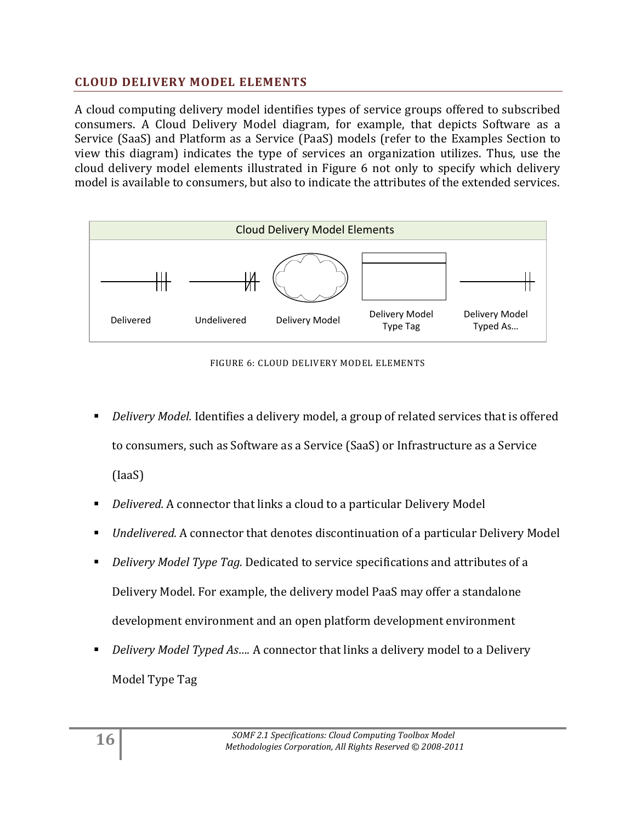#### <span id="page-15-0"></span>**CLOUD DELIVERY MODEL ELEMENTS**

A cloud computing delivery model identifies types of service groups offered to subscribed consumers. A Cloud Delivery Model diagram, for example, that depicts Software as a Service (SaaS) and Platform as a Service (PaaS) models (refer to the Examples Section to view this diagram) indicates the type of services an organization utilizes. Thus, use the cloud delivery model elements illustrated in Figure 6 not only to specify which delivery model is available to consumers, but also to indicate the attributes of the extended services.



FIGURE 6: CLOUD DELIVERY MODEL ELEMENTS

- *Delivery Model.* Identifies a delivery model, a group of related services that is offered to consumers, such as Software as a Service (SaaS) or Infrastructure as a Service (IaaS)
- *Delivered.* A connector that links a cloud to a particular Delivery Model
- *Undelivered.* A connector that denotes discontinuation of a particular Delivery Model
- *Delivery Model Type Tag.* Dedicated to service specifications and attributes of a Delivery Model. For example, the delivery model PaaS may offer a standalone development environment and an open platform development environment
- *Delivery Model Typed As….* A connector that links a delivery model to a Delivery Model Type Tag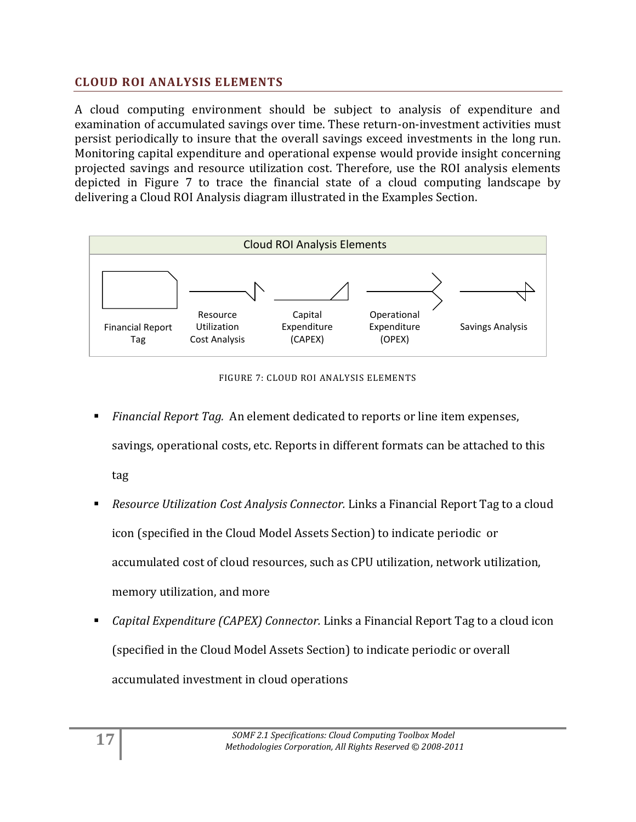#### <span id="page-16-0"></span>**CLOUD ROI ANALYSIS ELEMENTS**

A cloud computing environment should be subject to analysis of expenditure and examination of accumulated savings over time. These return-on-investment activities must persist periodically to insure that the overall savings exceed investments in the long run. Monitoring capital expenditure and operational expense would provide insight concerning projected savings and resource utilization cost. Therefore, use the ROI analysis elements depicted in Figure 7 to trace the financial state of a cloud computing landscape by delivering a Cloud ROI Analysis diagram illustrated in the Examples Section.



FIGURE 7: CLOUD ROI ANALYSIS ELEMENTS

- *Financial Report Tag.* An element dedicated to reports or line item expenses, savings, operational costs, etc. Reports in different formats can be attached to this tag
- *Resource Utilization Cost Analysis Connector.* Links a Financial Report Tag to a cloud icon (specified in the Cloud Model Assets Section) to indicate periodic or accumulated cost of cloud resources, such as CPU utilization, network utilization, memory utilization, and more
- *Capital Expenditure (CAPEX) Connector.* Links a Financial Report Tag to a cloud icon (specified in the Cloud Model Assets Section) to indicate periodic or overall accumulated investment in cloud operations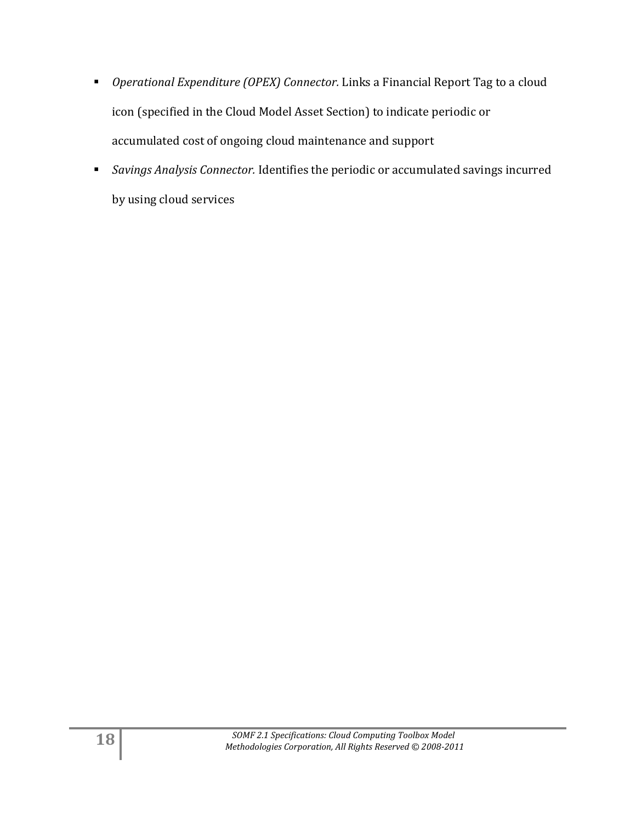- *Operational Expenditure (OPEX) Connector.* Links a Financial Report Tag to a cloud icon (specified in the Cloud Model Asset Section) to indicate periodic or accumulated cost of ongoing cloud maintenance and support
- *Savings Analysis Connector.* Identifies the periodic or accumulated savings incurred by using cloud services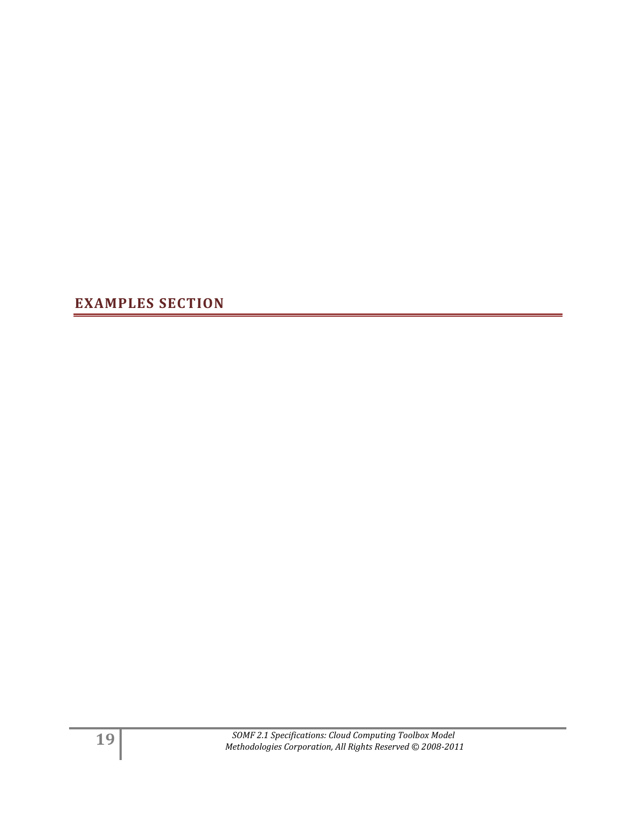<span id="page-18-0"></span>**EXAMPLES SECTION**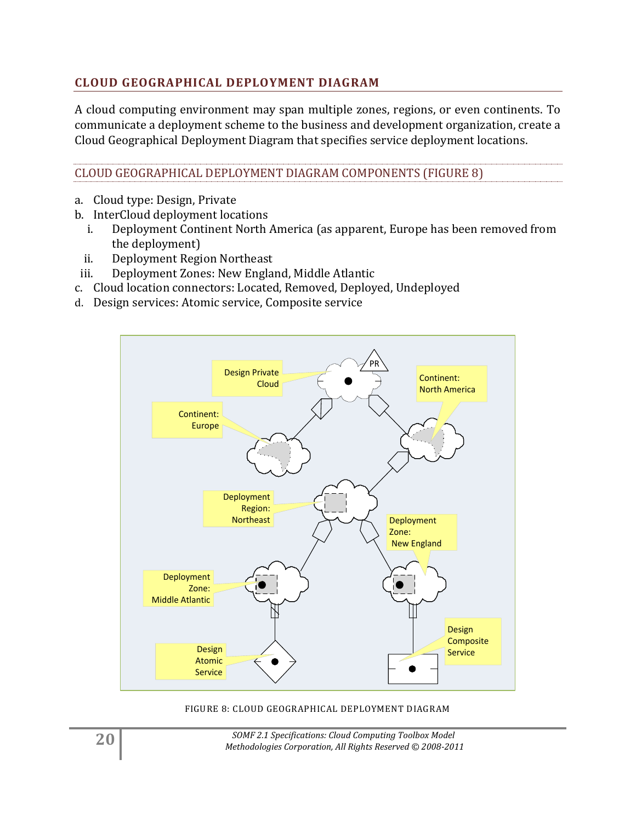#### <span id="page-19-0"></span>**CLOUD GEOGRAPHICAL DEPLOYMENT DIAGRAM**

A cloud computing environment may span multiple zones, regions, or even continents. To communicate a deployment scheme to the business and development organization, create a Cloud Geographical Deployment Diagram that specifies service deployment locations.

CLOUD GEOGRAPHICAL DEPLOYMENT DIAGRAM COMPONENTS (FIGURE 8)

- a. Cloud type: Design, Private
- b. InterCloud deployment locations
	- i. Deployment Continent North America (as apparent, Europe has been removed from the deployment)
- ii. Deployment Region Northeast
- iii. Deployment Zones: New England, Middle Atlantic
- c. Cloud location connectors: Located, Removed, Deployed, Undeployed
- d. Design services: Atomic service, Composite service



FIGURE 8: CLOUD GEOGRAPHICAL DEPLOYMENT DIAGRAM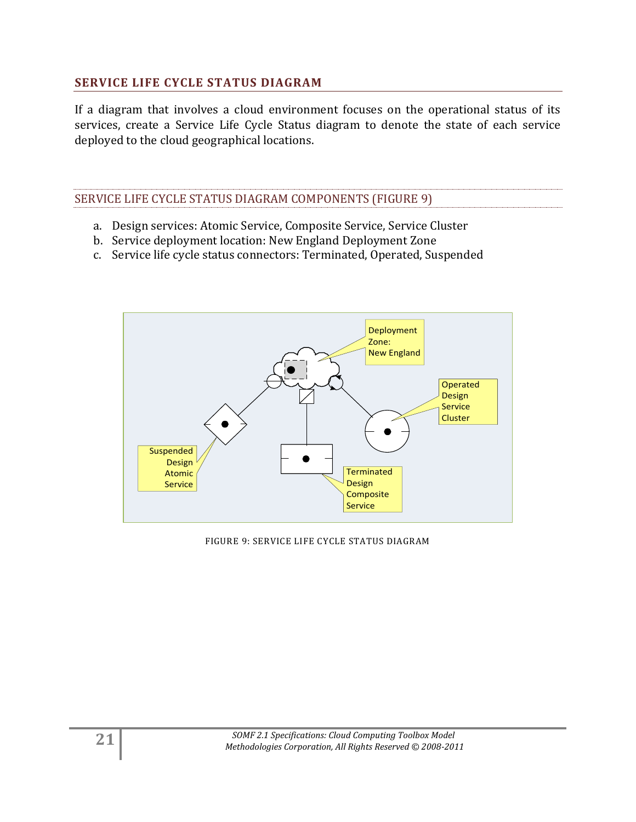#### <span id="page-20-0"></span>**SERVICE LIFE CYCLE STATUS DIAGRAM**

If a diagram that involves a cloud environment focuses on the operational status of its services, create a Service Life Cycle Status diagram to denote the state of each service deployed to the cloud geographical locations.

#### SERVICE LIFE CYCLE STATUS DIAGRAM COMPONENTS (FIGURE 9)

- a. Design services: Atomic Service, Composite Service, Service Cluster
- b. Service deployment location: New England Deployment Zone
- c. Service life cycle status connectors: Terminated, Operated, Suspended



FIGURE 9: SERVICE LIFE CYCLE STATUS DIAGRAM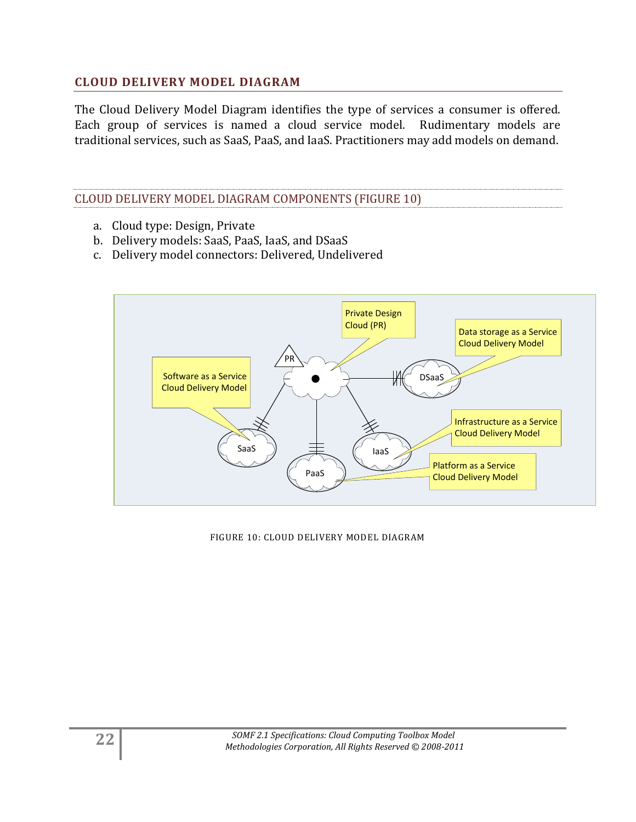#### <span id="page-21-0"></span>**CLOUD DELIVERY MODEL DIAGRAM**

The Cloud Delivery Model Diagram identifies the type of services a consumer is offered. Each group of services is named a cloud service model. Rudimentary models are traditional services, such as SaaS, PaaS, and IaaS. Practitioners may add models on demand.

#### CLOUD DELIVERY MODEL DIAGRAM COMPONENTS (FIGURE 10)

- a. Cloud type: Design, Private
- b. Delivery models: SaaS, PaaS, IaaS, and DSaaS
- c. Delivery model connectors: Delivered, Undelivered



FIGURE 10: CLOUD DELIVERY MODEL DIAGRAM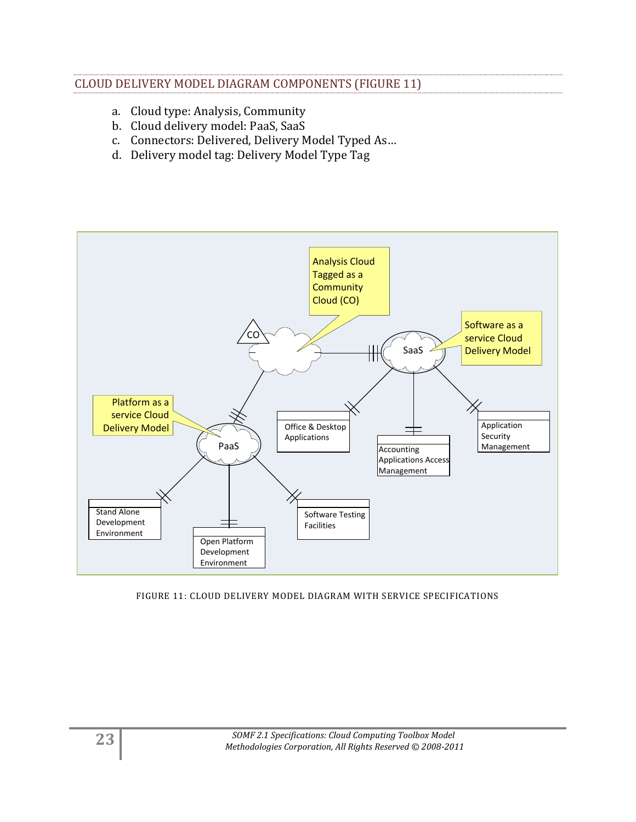#### CLOUD DELIVERY MODEL DIAGRAM COMPONENTS (FIGURE 11)

- a. Cloud type: Analysis, Community
- b. Cloud delivery model: PaaS, SaaS
- c. Connectors: Delivered, Delivery Model Typed As…
- d. Delivery model tag: Delivery Model Type Tag



FIGURE 11: CLOUD DELIVERY MODEL DIAGRAM WITH SERVICE SPECIFICATIONS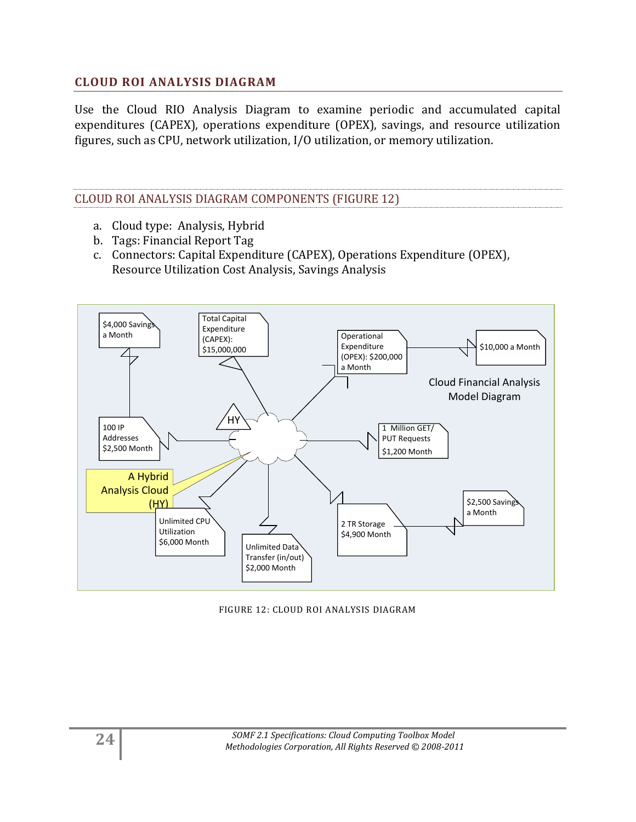#### <span id="page-23-0"></span>**CLOUD ROI ANALYSIS DIAGRAM**

Use the Cloud RIO Analysis Diagram to examine periodic and accumulated capital expenditures (CAPEX), operations expenditure (OPEX), savings, and resource utilization figures, such as CPU, network utilization, I/O utilization, or memory utilization.

#### CLOUD ROI ANALYSIS DIAGRAM COMPONENTS (FIGURE 12)

- a. Cloud type: Analysis, Hybrid
- b. Tags: Financial Report Tag
- c. Connectors: Capital Expenditure (CAPEX), Operations Expenditure (OPEX), Resource Utilization Cost Analysis, Savings Analysis



#### FIGURE 12: CLOUD ROI ANALYSIS DIAGRAM